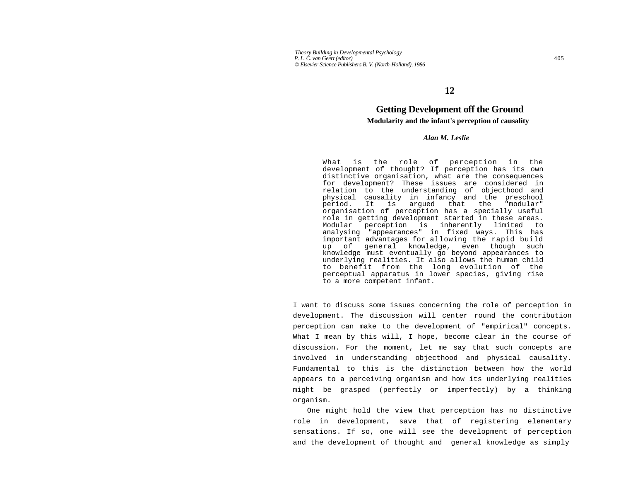# **Getting Development off the Ground Modularity and the infant's perception of causality**

### *Alan M. Leslie*

What is the role of perception in the development of thought? If perception has its own distinctive organisation, what are the consequences for development? These issues are considered in relation to the understanding of objecthood and physical causality in infancy and the preschool period. It is argued that the "modular" organisation of perception has a specially useful role in getting development started in these areas. Modular perception is inherently limited to analysing "appearances" in fixed ways. This has important advantages for allowing the rapid build up of general knowledge, even though such knowledge must eventually go beyond appearances to underlying realities. It also allows the human child to benefit from the long evolution of the perceptual apparatus in lower species, giving rise to a more competent infant.

I want to discuss some issues concerning the role of perception in development. The discussion will center round the contribution perception can make to the development of "empirical" concepts. What I mean by this will, I hope, become clear in the course of discussion. For the moment, let me say that such concepts are involved in understanding objecthood and physical causality. Fundamental to this is the distinction between how the world appears to a perceiving organism and how its underlying realities might be grasped (perfectly or imperfectly) by a thinking organism.

One might hold the view that perception has no distinctive role in development, save that of registering elementary sensations. If so, one will see the development of perception and the development of thought and general knowledge as simply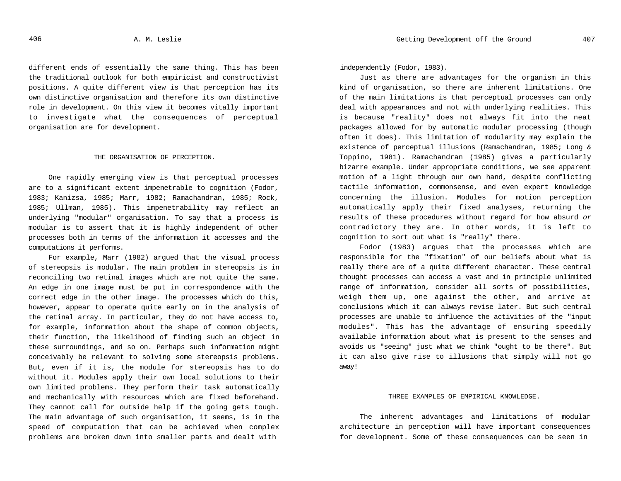different ends of essentially the same thing. This has been the traditional outlook for both empiricist and constructivist positions. A quite different view is that perception has its own distinctive organisation and therefore its own distinctive role in development. On this view it becomes vitally important to investigate what the consequences of perceptual organisation are for development.

### THE ORGANISATION OF PERCEPTION.

One rapidly emerging view is that perceptual processes are to a significant extent impenetrable to cognition (Fodor, 1983; Kanizsa, 1985; Marr, 1982; Ramachandran, 1985; Rock, 1985; Ullman, 1985). This impenetrability may reflect an underlying "modular" organisation. To say that a process is modular is to assert that it is highly independent of other processes both in terms of the information it accesses and the computations it performs.

For example, Marr (1982) argued that the visual process of stereopsis is modular. The main problem in stereopsis is in reconciling two retinal images which are not quite the same. An edge in one image must be put in correspondence with the correct edge in the other image. The processes which do this, however, appear to operate quite early on in the analysis of the retinal array. In particular, they do not have access to, for example, information about the shape of common objects, their function, the likelihood of finding such an object in these surroundings, and so on. Perhaps such information might conceivably be relevant to solving some stereopsis problems. But, even if it is, the module for stereopsis has to do without it. Modules apply their own local solutions to their own limited problems. They perform their task automatically and mechanically with resources which are fixed beforehand. They cannot call for outside help if the going gets tough. The main advantage of such organisation, it seems, is in the speed of computation that can be achieved when complex problems are broken down into smaller parts and dealt with

independently (Fodor, 1983).

Just as there are advantages for the organism in this kind of organisation, so there are inherent limitations. One of the main limitations is that perceptual processes can only deal with appearances and not with underlying realities. This is because "reality" does not always fit into the neat packages allowed for by automatic modular processing (though often it does). This limitation of modularity may explain the existence of perceptual illusions (Ramachandran, 1985; Long & Toppino, 1981). Ramachandran (1985) gives a particularly bizarre example. Under appropriate conditions, we see apparent motion of a light through our own hand, despite conflicting tactile information, commonsense, and even expert knowledge concerning the illusion. Modules for motion perception automatically apply their fixed analyses, returning the results of these procedures without regard for how absurd *or*  contradictory they are. In other words, it is left to cognition to sort out what is "really" there.

Fodor (1983) argues that the processes which are responsible for the "fixation" of our beliefs about what is really there are of a quite different character. These central thought processes can access a vast and in principle unlimited range of information, consider all sorts of possibilities, weigh them up, one against the other, and arrive at conclusions which it can always revise later. But such central processes are unable to influence the activities of the "input modules". This has the advantage of ensuring speedily available information about what is present to the senses and avoids us "seeing" just what we think "ought to be there". But it can also give rise to illusions that simply will not go away!

# THREE EXAMPLES OF EMPIRICAL KNOWLEDGE.

The inherent advantages and limitations of modular architecture in perception will have important consequences for development. Some of these consequences can be seen in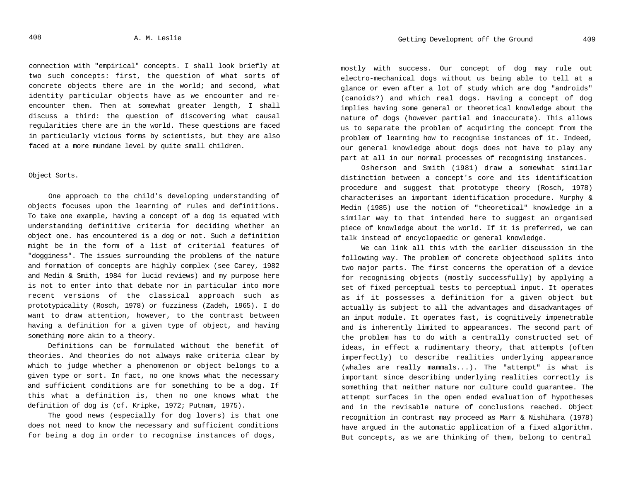408

connection with "empirical" concepts. I shall look briefly at two such concepts: first, the question of what sorts of concrete objects there are in the world; and second, what identity particular objects have as we encounter and reencounter them. Then at somewhat greater length, I shall discuss a third: the question of discovering what causal regularities there are in the world. These questions are faced in particularly vicious forms by scientists, but they are also faced at a more mundane level by quite small children.

# Object Sorts.

One approach to the child's developing understanding of objects focuses upon the learning of rules and definitions. To take one example, having a concept of a dog is equated with understanding definitive criteria for deciding whether an object one. has encountered is a dog or not. Such *a* definition might be in the form of a list of criterial features of "dogginess". The issues surrounding the problems of the nature and formation of concepts are highly complex (see Carey, 1982 and Medin & Smith, 1984 for lucid reviews) and my purpose here is not to enter into that debate nor in particular into more recent versions of the classical approach such as prototypicality (Rosch, 1978) or fuzziness (Zadeh, 1965). I do want to draw attention, however, to the contrast between having a definition for a given type of object, and having something more akin to a theory.

Definitions can be formulated without the benefit of theories. And theories do not always make criteria clear by which to judge whether a phenomenon or object belongs to a given type or sort. In fact, no one knows what the necessary and sufficient conditions are for something to be a dog. If this what a definition is, then no one knows what the definition of dog is (cf. Kripke, 1972; Putnam, 1975).

The good news (especially for dog lovers) is that one does not need to know the necessary and sufficient conditions for being a dog in order to recognise instances of dogs,

mostly with success. Our concept of dog may rule out electro-mechanical dogs without us being able to tell at a glance or even after a lot of study which are dog "androids" (canoids?) and which real dogs. Having a concept of dog implies having some general or theoretical knowledge about the nature of dogs (however partial and inaccurate). This allows us to separate the problem of acquiring the concept from the problem of learning how to recognise instances of it. Indeed, our general knowledge about dogs does not have to play any part at all in our normal processes of recognising instances.

Osherson and Smith (1981) draw a somewhat similar distinction between a concept's core and its identification procedure and suggest that prototype theory (Rosch, 1978) characterises an important identification procedure. Murphy & Medin (1985) use the notion of "theoretical" knowledge in a similar way to that intended here to suggest an organised piece of knowledge about the world. If it is preferred, we can talk instead of encyclopaedic or general knowledge.

We can link all this with the earlier discussion in the following way. The problem of concrete objecthood splits into two major parts. The first concerns the operation of a device for recognising objects (mostly successfully) by applying a set of fixed perceptual tests to perceptual input. It operates as if it possesses a definition for a given object but actually is subject to all the advantages and disadvantages of an input module. It operates fast, is cognitively impenetrable and is inherently limited to appearances. The second part of the problem has to do with a centrally constructed set of ideas, in effect a rudimentary theory, that attempts (often imperfectly) to describe realities underlying appearance (whales are really mammals...). The "attempt" is what is important since describing underlying realities correctly is something that neither nature nor culture could guarantee. The attempt surfaces in the open ended evaluation of hypotheses and in the revisable nature of conclusions reached. Object recognition in contrast may proceed as Marr & Nishihara (1978) have argued in the automatic application of a fixed algorithm. But concepts, as we are thinking of them, belong to central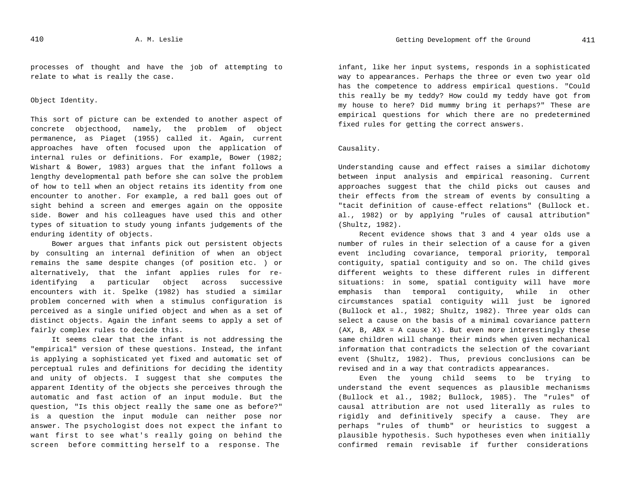processes of thought and have the job of attempting to relate to what is really the case.

# Object Identity.

This sort of picture can be extended to another aspect of concrete objecthood, namely, the problem of object permanence, as Piaget (1955) called it. Again, current approaches have often focused upon the application of internal rules or definitions. For example, Bower (1982; Wishart & Bower, 1983) argues that the infant follows a lengthy developmental path before she can solve the problem of how to tell when an object retains its identity from one encounter to another. For example, a red ball goes out of sight behind a screen and emerges again on the opposite side. Bower and his colleagues have used this and other types of situation to study young infants judgements of the enduring identity of objects.

Bower argues that infants pick out persistent objects by consulting an internal definition of when an object remains the same despite changes (of position etc. ) or alternatively, that the infant applies rules for reidentifying a particular object across successive encounters with it. Spelke (1982) has studied a similar problem concerned with when a stimulus configuration is perceived as a single unified object and when as a set of distinct objects. Again the infant seems to apply a set of fairly complex rules to decide this.

It seems clear that the infant is not addressing the "empirical" version of these questions. Instead, the infant is applying a sophisticated yet fixed and automatic set of perceptual rules and definitions for deciding the identity and unity of objects. I suggest that she computes the apparent Identity of the objects she perceives through the automatic and fast action of an input module. But the question, "Is this object really the same one as before?" is a question the input module can neither pose nor answer. The psychologist does not expect the infant to want first to see what's really going on behind the screen before committing herself to a response. The

infant, like her input systems, responds in a sophisticated way to appearances. Perhaps the three or even two year old has the competence to address empirical questions. "Could this really be my teddy? How could my teddy have got from my house to here? Did mummy bring it perhaps?" These are empirical questions for which there are no predetermined fixed rules for getting the correct answers.

# Causality.

Understanding cause and effect raises a similar dichotomy between input analysis and empirical reasoning. Current approaches suggest that the child picks out causes and their effects from the stream of events by consulting a "tacit definition of cause-effect relations" (Bullock et. al., 1982) or by applying "rules of causal attribution" (Shultz, 1982).

Recent evidence shows that 3 and 4 year olds use a number of rules in their selection of a cause for a given event including covariance, temporal priority, temporal contiguity, spatial contiguity and so on. The child gives different weights to these different rules in different situations: in some, spatial contiguity will have more emphasis than temporal contiguity, while in other circumstances spatial contiguity will just be ignored (Bullock et al., 1982; Shultz, 1982). Three year olds can select a cause on the basis of a minimal covariance pattern (AX, B, ABX = A cause X). But even more interestingly these same children will change their minds when given mechanical information that contradicts the selection of the covariant event (Shultz, 1982). Thus, previous conclusions can be revised and in a way that contradicts appearances.

Even the young child seems to be trying to understand the event sequences as plausible mechanisms (Bullock et al., 1982; Bullock, 1985). The "rules" of causal attribution are not used literally as rules to rigidly and definitively specify a cause. They are perhaps "rules of thumb" or heuristics to suggest a plausible hypothesis. Such hypotheses even when initially confirmed remain revisable if further considerations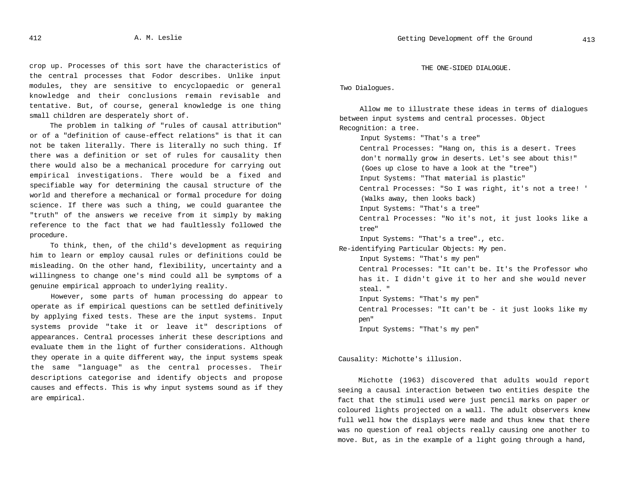crop up. Processes of this sort have the characteristics of the central processes that Fodor describes. Unlike input modules, they are sensitive to encyclopaedic or general knowledge and their conclusions remain revisable and tentative. But, of course, general knowledge is one thing small children are desperately short of.

The problem in talking *of* "rules of causal attribution" or of a "definition of cause-effect relations" is that it can not be taken literally. There is literally no such thing. If there was a definition or set of rules for causality then there would also be a mechanical procedure for carrying out empirical investigations. There would be a fixed and specifiable way for determining the causal structure of the world and therefore a mechanical or formal procedure for doing science. If there was such a thing, we could guarantee the "truth" of the answers we receive from it simply by making reference to the fact that we had faultlessly followed the procedure.

To think, then, of the child's development as requiring him to learn or employ causal rules or definitions could be misleading. On the other hand, flexibility, uncertainty and a willingness to change one's mind could all be symptoms of a genuine empirical approach to underlying reality.

However, some parts of human processing do appear to operate as if empirical questions can be settled definitively by applying fixed tests. These are the input systems. Input systems provide "take it or leave it" descriptions of appearances. Central processes inherit these descriptions and evaluate them in the light of further considerations. Although they operate in a quite different way, the input systems speak the same "language" as the central processes. Their descriptions categorise and identify objects and propose causes and effects. This is why input systems sound as if they are empirical.

412

#### THE ONE-SIDED DIALOGUE.

Two Dialogues.

Allow me to illustrate these ideas in terms of dialogues between input systems and central processes. Object Recognition: a tree.

Input Systems: "That's a tree"

Central Processes: "Hang on, this is a desert. Trees don't normally grow in deserts. Let's see about this!" (Goes up close to have a look at the "tree") Input Systems: "That material is plastic" Central Processes: "So I was right, it's not a tree! ' (Walks away, then looks back) Input Systems: "That's a tree" Central Processes: "No it's not, it just looks like a tree"Input Systems: "That's a tree"., etc. Re-identifying Particular Objects: My pen. Input Systems: "That's my pen" Central Processes: "It can't be. It's the Professor whohas it. I didn't give it to her and she would never steal. "Input Systems: "That's my pen" Central Processes: "It can't be - it just looks like my pen" Input Systems: "That's my pen"

Causality: Michotte's illusion.

Michotte (1963) discovered that adults would report seeing a causal interaction between two entities despite the fact that the stimuli used were just pencil marks on paper or coloured lights projected on a wall. The adult observers knew full well how the displays were made and thus knew that there was no question of real objects really causing one another to move. But, as in the example of a light going through a hand,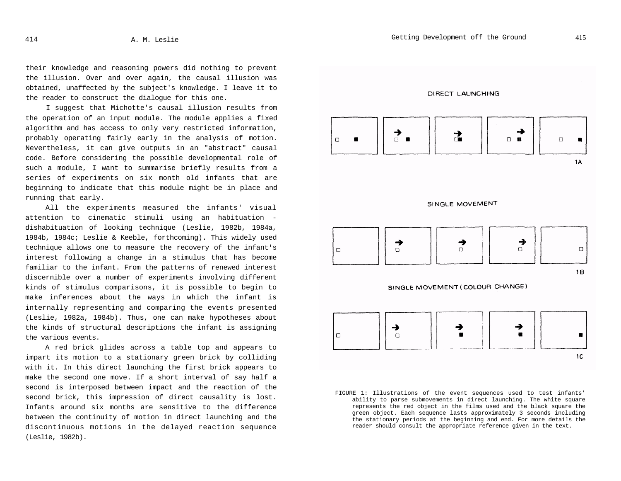their knowledge and reasoning powers did nothing to prevent the illusion. Over and over again, the causal illusion was obtained, unaffected by the subject's knowledge. I leave it to the reader to construct the dialogue for this one.

I suggest that Michotte's causal illusion results from the operation of an input module. The module applies a fixed algorithm and has access to only very restricted information, probably operating fairly early in the analysis of motion. Nevertheless, it can give outputs in an "abstract" causal code. Before considering the possible developmental role of such a module, I want to summarise briefly results from a series of experiments on six month old infants that are beginning to indicate that this module might be in place and running that early.

All the experiments measured the infants' visual attention to cinematic stimuli using an habituation dishabituation of looking technique (Leslie, 1982b, 1984a, 1984b, 1984c; Leslie & Keeble, forthcoming). This widely used technique allows one to measure the recovery of the infant's interest following a change in a stimulus that has become familiar to the infant. From the patterns of renewed interest discernible over a number of experiments involving different kinds of stimulus comparisons, it is possible to begin to make inferences about the ways in which the infant is internally representing and comparing the events presented (Leslie, 1982a, 1984b). Thus, one can make hypotheses about the kinds of structural descriptions the infant is assigning the various events.

A red brick glides across a table top and appears to impart its motion to a stationary green brick by colliding with it. In this direct launching the first brick appears to make the second one move. If a short interval of say half a second is interposed between impact and the reaction of the second brick, this impression of direct causality is lost. Infants around six months are sensitive to the difference between the continuity of motion in direct launching and the discontinuous motions in the delayed reaction sequence (Leslie, 1982b).



FIGURE 1: Illustrations of the event sequences used to test infants' ability to parse submovements in direct launching. The white square represents the red object in the films used and the black square the green object. Each sequence lasts approximately 3 seconds including the stationary periods at the beginning and end. For more details the reader should consult the appropriate reference given in the text.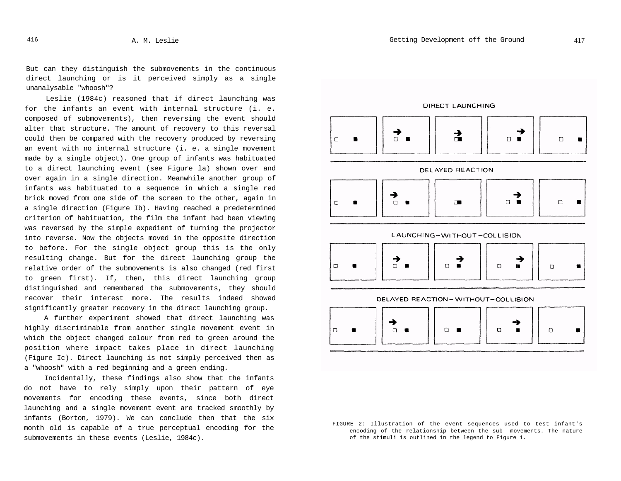But can they distinguish the submovements in the continuous direct launching or is it perceived simply as a single unanalysable "whoosh"?

Leslie (1984c) reasoned that if direct launching was for the infants an event with internal structure (i. e. composed of submovements), then reversing the event should alter that structure. The amount of recovery to this reversal could then be compared with the recovery produced by reversing an event with no internal structure (i. e. a single movement made by a single object). One group of infants was habituated to a direct launching event (see Figure la) shown over and over again in a single direction. Meanwhile another group of infants was habituated to a sequence in which a single red brick moved from one side of the screen to the other, again in a single direction (Figure Ib). Having reached a predetermined criterion of habituation, the film the infant had been viewing was reversed by the simple expedient of turning the projector into reverse. Now the objects moved in the opposite direction to before. For the single object group this is the only resulting change. But for the direct launching group the relative order of the submovements is also changed (red first to green first). If, then, this direct launching group distinguished and remembered the submovements, they should recover their interest more. The results indeed showed significantly greater recovery in the direct launching group.

A further experiment showed that direct launching was highly discriminable from another single movement event in which the object changed colour from red to green around the position where impact takes place in direct launching (Figure Ic). Direct launching is not simply perceived then as <sup>a</sup>"whoosh" with a red beginning and a green ending.

Incidentally, these findings also show that the infants do not have to rely simply upon their pattern of eye movements for encoding these events, since both direct launching and a single movement event are tracked smoothly by infants (Borton, 1979). We can conclude then that the six month old is capable of a true perceptual encoding for the submovements in these events (Leslie, 1984c).



FIGURE 2: Illustration of the event sequences used to test infant's encoding of the relationship between the sub- movements. The nature of the stimuli is outlined in the legend to Figure 1.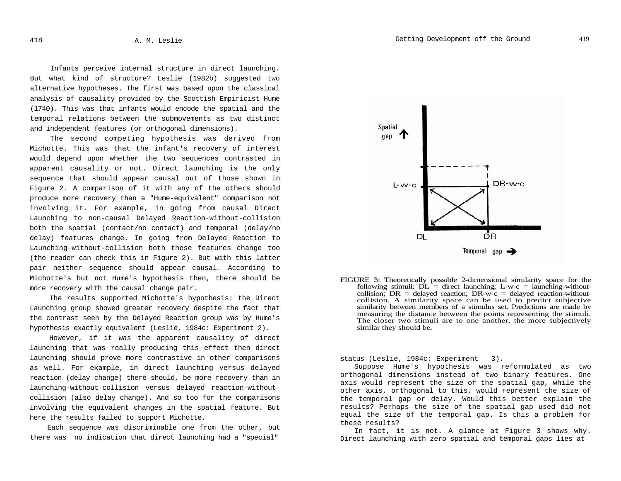Infants perceive internal structure in direct launching. But what kind of structure? Leslie (1982b) suggested two alternative hypotheses. The first was based upon the classical analysis of causality provided by the Scottish Empiricist Hume (1740). This was that infants would encode the spatial and the temporal relations between the submovements as two distinct and independent features (or orthogonal dimensions).

The second competing hypothesis was derived from Michotte. This was that the infant's recovery of interest would depend upon whether the two sequences contrasted in apparent causality or not. Direct launching is the only sequence that should appear causal out of those shown in Figure 2. A comparison of it with any of the others should produce more recovery than a "Hume-equivalent" comparison not involving it. For example, in going from causal Direct Launching to non-causal Delayed Reaction-without-collision both the spatial (contact/no contact) and temporal (delay/no delay) features change. In going from Delayed Reaction to Launching-without-collision both these features change too (the reader can check this in Figure 2). But with this latter pair neither sequence should appear causal. According to Michotte's but not Hume's hypothesis then, there should be more recovery with the causal change pair.

The results supported Michotte's hypothesis: the Direct Launching group showed greater recovery despite the fact that the contrast seen by the Delayed Reaction group was by Hume's hypothesis exactly equivalent (Leslie, 1984c: Experiment 2).

However, if it was the apparent causality of direct launching that was really producing this effect then direct launching should prove more contrastive in other comparisons as well. For example, in direct launching versus delayed reaction (delay change) there should, be more recovery than in launching-without-collision versus delayed reaction-withoutcollision (also delay change). And so too for the comparisons involving the equivalent changes in the spatial feature. But here the results failed to support Michotte.

Each sequence was discriminable one from the other, but there was no indication that direct launching had a "special"



FIGURE 3: Theoretically possible 2-dimensional similarity space for the following stimuli:  $DI =$  direct launching:  $L-w-c =$  launching-withoutcollision;  $DR =$  delayed reaction;  $DR-w-c =$  delayed reaction-withoutcollision. A similarity space can be used to predict subjective similarity between members of a stimulus set. Predictions are made by measuring the distance between the points representing the stimuli. The closer two stimuli are to one another, the more subjectively similar they should be.

status (Leslie, 1984c: Experiment 3).

Suppose Hume's hypothesis was reformulated as two orthogonal dimensions instead of two binary features. One axis would represent the size of the spatial gap, while the other axis, orthogonal to this, would represent the size of the temporal gap or delay. Would this better explain the results? Perhaps the size of the spatial gap used did not equal the size of the temporal gap. Is this a problem for these results?

In fact, it is not. A glance at Figure 3 shows why. Direct launching with zero spatial and temporal gaps lies at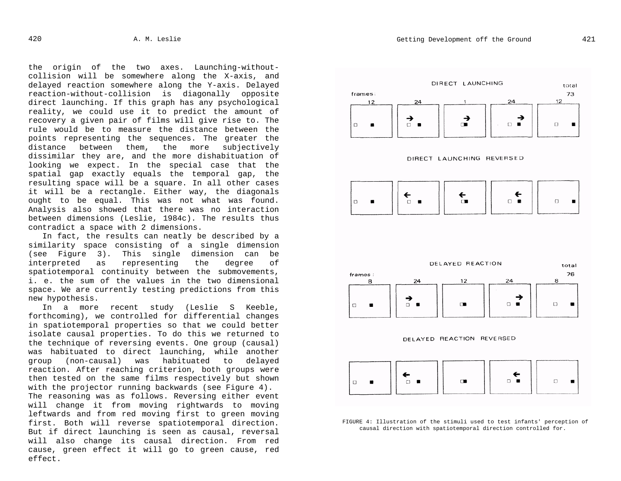the origin of the two axes. Launching-withoutcollision will be somewhere along the X-axis, and delayed reaction somewhere along the Y-axis. Delayed reaction-without-collision is diagonally opposite direct launching. If this graph has any psychological reality, we could use it to predict the amount of recovery a given pair of films will give rise to. The rule would be to measure the distance between the points representing the sequences. The greater the distance between them, the more subjectively dissimilar they are, and the more dishabituation of looking we expect. In the special case that the spatial gap exactly equals the temporal gap, the resulting space will be a square. In all other cases it will be a rectangle. Either way, the diagonals ought to be equal. This was not what was found. Analysis also showed that there was no interaction between dimensions (Leslie, 1984c). The results thus contradict a space with 2 dimensions.

In fact, the results can neatly be described by a similarity space consisting of a single dimension (see Figure 3). This single dimension can be interpreted as representing the degree of spatiotemporal continuity between the submovements, i. e. the sum of the values in the two dimensional space. We are currently testing predictions from this new hypothesis.

In a more recent study (Leslie S Keeble, forthcoming), we controlled for differential changes in spatiotemporal properties so that we could better isolate causal properties. To do this we returned to the technique of reversing events. One group (causal) was habituated to direct launching, while another group (non-causal) was habituated to delayed reaction. After reaching criterion, both groups were then tested on the same films respectively but shown with the projector running backwards (see Figure 4). The reasoning was as follows. Reversing either event will change it from moving rightwards to moving leftwards and from red moving first to green moving first. Both will reverse spatiotemporal direction. But if direct launching is seen as causal, reversal will also change its causal direction. From red cause, green effect it will go to green cause, red effect.



FIGURE 4: Illustration of the stimuli used to test infants' perception of causal direction with spatiotemporal direction controlled for.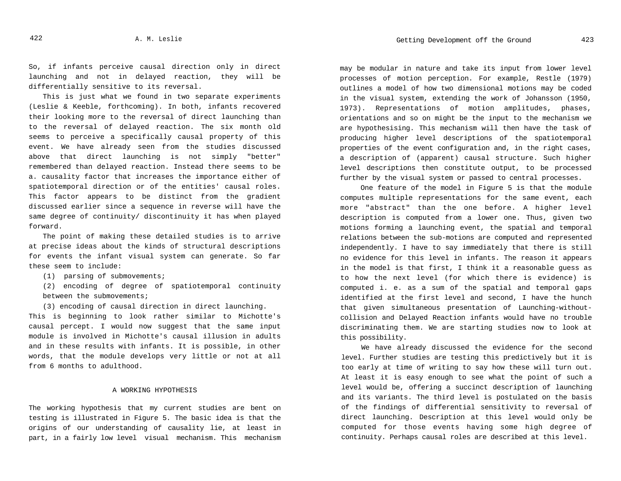So, if infants perceive causal direction only in direct launching and not in delayed reaction, they will be differentially sensitive to its reversal.

This is just what we found in two separate experiments (Leslie & Keeble, forthcoming). In both, infants recovered their looking more to the reversal of direct launching than to the reversal of delayed reaction. The six month old seems to perceive a specifically causal property of this event. We have already seen from the studies discussed above that direct launching is not simply "better" remembered than delayed reaction. Instead there seems to be a. causality factor that increases the importance either of spatiotemporal direction or of the entities' causal roles. This factor appears to be distinct from the gradient discussed earlier since a sequence in reverse will have the same degree of continuity/ discontinuity it has when played forward.

The point of making these detailed studies is to arrive at precise ideas about the kinds of structural descriptions for events the infant visual system can generate. So far these seem to include:

(1) parsing of submovements;

(2) encoding of degree of spatiotemporal continuity between the submovements;

(3) encoding of causal direction in direct launching. This is beginning to look rather similar to Michotte's causal percept. I would now suggest that the same input module is involved in Michotte's causal illusion in adults and in these results with infants. It is possible, in other words, that the module develops very little or not at all from 6 months to adulthood.

# A WORKING HYPOTHESIS

The working hypothesis that my current studies are bent on testing is illustrated in Figure 5. The basic idea is that the origins of our understanding of causality lie, at least in part, in a fairly low level visual mechanism. This mechanism may be modular in nature and take its input from lower level processes of motion perception. For example, Restle (1979) outlines a model of how two dimensional motions may be coded in the visual system, extending the work of Johansson (1950, 1973). Representations of motion amplitudes, phases, orientations and so on might be the input to the mechanism we are hypothesising. This mechanism will then have the task of producing higher level descriptions of the spatiotemporal properties of the event configuration and, in the right cases, a description of (apparent) causal structure. Such higher level descriptions then constitute output, to be processed further by the visual system or passed to central processes.

One feature of the model in Figure 5 is that the module computes multiple representations for the same event, each more "abstract" than the one before. A higher level description is computed from a lower one. Thus, given two motions forming a launching event, the spatial and temporal relations between the sub-motions are computed and represented independently. I have to say immediately that there is still no evidence for this level in infants. The reason it appears in the model is that first, I think it a reasonable guess as to how the next level (for which there is evidence) is computed i. e. as a sum of the spatial and temporal gaps identified at the first level and second, I have the hunch that given simultaneous presentation of Launching-withoutcollision and Delayed Reaction infants would have no trouble discriminating them. We are starting studies now to look at this possibility.

We have already discussed the evidence for the second level. Further studies are testing this predictively but it is too early at time of writing to say how these will turn out. At least it is easy enough to see what the point of such a level would be, offering a succinct description of launching and its variants. The third level is postulated on the basis of the findings of differential sensitivity to reversal of direct launching. Description at this level would only be computed for those events having some high degree of continuity. Perhaps causal roles are described at this level.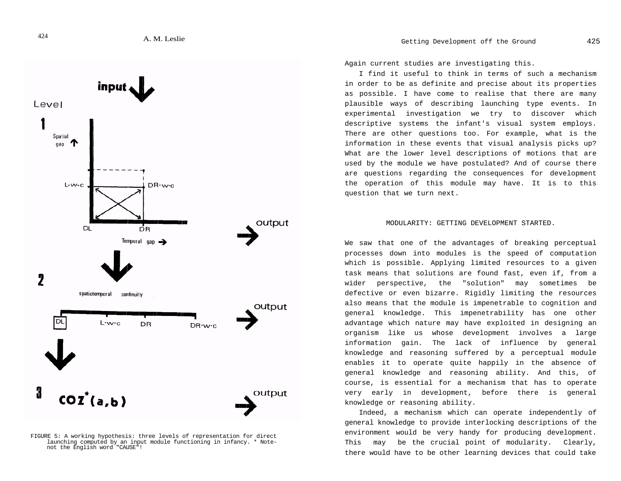

FIGURE 5: A working hypothesis: three levels of representation for direct launching computed by an input module functioning in infancy. \* Notenot the English word "CAUSE"!

Getting Development off the Ground  $425$ 

Again current studies are investigating this.

I find it useful to think in terms of such a mechanism in order to be as definite and precise about its properties as possible. I have come to realise that there are many plausible ways of describing launching type events. In experimental investigation we try to discover which descriptive systems the infant's visual system employs. There are other questions too. For example, what is the information in these events that visual analysis picks up? What are the lower level descriptions of motions that are used by the module we have postulated? And of course there are questions regarding the consequences for development the operation of this module may have. It is to this question that we turn next.

# MODULARITY: GETTING DEVELOPMENT STARTED.

We saw that one of the advantages of breaking perceptual processes down into modules is the speed of computation which is possible. Applying limited resources to a given task means that solutions are found fast, even if, from a wider perspective, the "solution" may sometimes be defective or even bizarre. Rigidly limiting the resources also means that the module is impenetrable to cognition and general knowledge. This impenetrability has one other advantage which nature may have exploited in designing an organism like us whose development involves a large information gain. The lack of influence by general knowledge and reasoning suffered by a perceptual module enables it to operate quite happily in the absence of general knowledge and reasoning ability. And this, of course, is essential for a mechanism that has to operate very early in development, before there is general knowledge or reasoning ability.

Indeed, a mechanism which can operate independently of general knowledge to provide interlocking descriptions of the environment would be very handy for producing development. This may be the crucial point of modularity. Clearly, there would have to be other learning devices that could take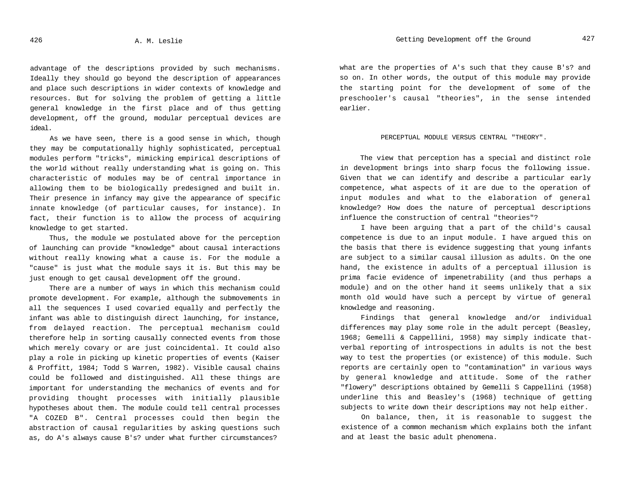advantage of the descriptions provided by such mechanisms. Ideally they should go beyond the description of appearances and place such descriptions in wider contexts of knowledge and resources. But for solving the problem of getting a little general knowledge in the first place and of thus getting development, off the ground, modular perceptual devices are ideal.

As we have seen, there is a good sense in which, though they may be computationally highly sophisticated, perceptual modules perform "tricks", mimicking empirical descriptions of the world without really understanding what is going on. This characteristic of modules may be of central importance in allowing them to be biologically predesigned and built in. Their presence in infancy may give the appearance of specific innate knowledge (of particular causes, for instance). In fact, their function is to allow the process of acquiring knowledge to get started.

Thus, the module we postulated above for the perception of launching can provide "knowledge" about causal interactions without really knowing what a cause is. For the module a "cause" is just what the module says it is. But this may be just enough to get causal development off the ground.

There are a number of ways in which this mechanism could promote development. For example, although the submovements in all the sequences I used covaried equally and perfectly the infant was able to distinguish direct launching, for instance, from delayed reaction. The perceptual mechanism could therefore help in sorting causally connected events from those which merely covary or are just coincidental. It could also play a role in picking up kinetic properties of events (Kaiser & Proffitt, 1984; Todd S Warren, 1982). Visible causal chains could be followed and distinguished. All these things are important for understanding the mechanics of events and for providing thought processes with initially plausible hypotheses about them. The module could tell central processes "A COZED B". Central processes could then begin the abstraction of causal regularities by asking questions such as, do A's always cause B's? under what further circumstances?

what are the properties of A's such that they cause B's? and so on. In other words, the output of this module may provide the starting point for the development of some of the preschooler's causal "theories", in the sense intended earlier.

### PERCEPTUAL MODULE VERSUS CENTRAL "THEORY".

The view that perception has a special and distinct role in development brings into sharp focus the following issue. Given that we can identify and describe a particular early competence, what aspects of it are due to the operation of input modules and what to the elaboration of general knowledge? How does the nature of perceptual descriptions influence the construction of central "theories"?

I have been arguing that a part of the child's causal competence is due to an input module. I have argued this on the basis that there is evidence suggesting that young infants are subject to a similar causal illusion as adults. On the one hand, the existence in adults of a perceptual illusion is prima facie evidence of impenetrability (and thus perhaps a module) and on the other hand it seems unlikely that a six month old would have such a percept by virtue of general knowledge and reasoning.

Findings that general knowledge and/or individual differences may play some role in the adult percept (Beasley, 1968; Gemelli & Cappellini, 1958) may simply indicate thatverbal reporting of introspections in adults is not the best way to test the properties (or existence) of this module. Such reports are certainly open to "contamination" in various ways by general knowledge and attitude. Some of the rather "flowery" descriptions obtained by Gemelli S Cappellini (1958) underline this and Beasley's (1968) technique of getting subjects to write down their descriptions may not help either.

On balance, then, it is reasonable to suggest the existence of a common mechanism which explains both the infant and at least the basic adult phenomena.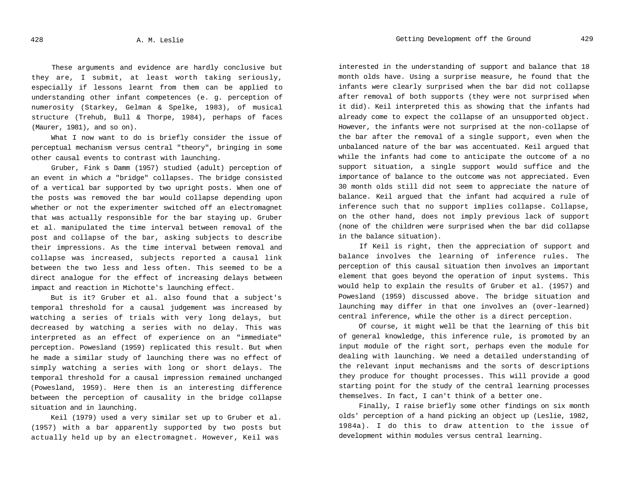These arguments and evidence are hardly conclusive but they are, I submit, at least worth taking seriously, especially if lessons learnt from them can be applied to understanding other infant competences (e. g. perception of numerosity (Starkey, Gelman & Spelke, 1983), of musical structure (Trehub, Bull & Thorpe, 1984), perhaps of faces (Maurer, 1981), and so on).

What I now want to do is briefly consider the issue of perceptual mechanism versus central "theory", bringing in some other causal events to contrast with launching.

Gruber, Fink s Damm (1957) studied (adult) perception of an event in which *a* "bridge" collapses. The bridge consisted of a vertical bar supported by two upright posts. When one of the posts was removed the bar would collapse depending upon whether or not the experimenter switched off an electromagnet that was actually responsible for the bar staying up. Gruber et al. manipulated the time interval between removal of the post and collapse of the bar, asking subjects to describe their impressions. As the time interval between removal and collapse was increased, subjects reported a causal link between the two less and less often. This seemed to be a direct analogue for the effect of increasing delays between impact and reaction in Michotte's launching effect.

But is it? Gruber et al. also found that a subject's temporal threshold for a causal judgement was increased by watching a series of trials with very long delays, but decreased by watching a series with no delay. This was interpreted as an effect of experience on an "immediate" perception. Powesland (1959) replicated this result. But when he made a similar study of launching there was no effect of simply watching a series with long or short delays. The temporal threshold for a causal impression remained unchanged (Powesland, 1959). Here then is an interesting difference between the perception of causality in the bridge collapse situation and in launching.

Keil (1979) used a very similar set up to Gruber et al. (1957) with a bar apparently supported by two posts but actually held up by an electromagnet. However, Keil was

interested in the understanding of support and balance that 18 month olds have. Using a surprise measure, he found that the infants were clearly surprised when the bar did not collapse after removal of both supports (they were not surprised when it did). Keil interpreted this as showing that the infants had already come to expect the collapse of an unsupported object. However, the infants were not surprised at the non-collapse of the bar after the removal of a single support, even when the unbalanced nature of the bar was accentuated. Keil argued that while the infants had come to anticipate the outcome of a no support situation, a single support would suffice and the importance of balance to the outcome was not appreciated. Even 30 month olds still did not seem to appreciate the nature of balance. Keil argued that the infant had acquired a rule of inference such that no support implies collapse. Collapse, on the other hand, does not imply previous lack of support (none of the children were surprised when the bar did collapse in the balance situation).

If Keil is right, then the appreciation of support and balance involves the learning of inference rules. The perception of this causal situation then involves an important element that goes beyond the operation of input systems. This would help to explain the results of Gruber et al. (1957) and Powesland (1959) discussed above. The bridge situation and launching may differ in that one involves an (over-learned) central inference, while the other is a direct perception.

Of course, it might well be that the learning of this bit of general knowledge, this inference rule, is promoted by an input module of the right sort, perhaps even the module for dealing with launching. We need a detailed understanding of the relevant input mechanisms and the sorts of descriptions they produce for thought processes. This will provide *a* good starting point for the study of the central learning processes themselves. In fact, I can't think of a better one.

Finally, I raise briefly some other findings on six month olds' perception of a hand picking an object up (Leslie, 1982, 1984a). I do this to draw attention to the issue of development within modules versus central learning.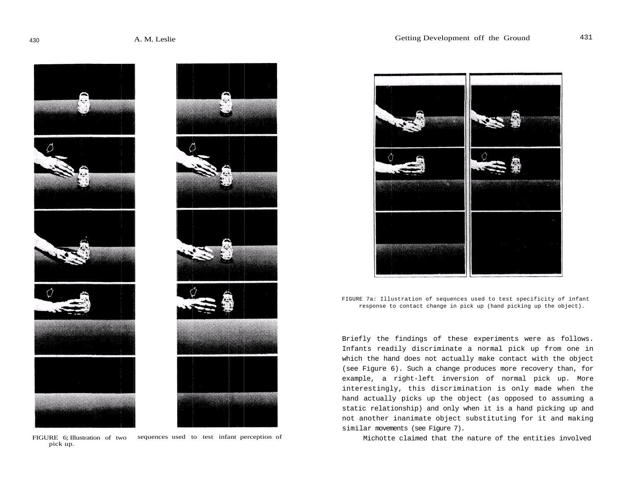

FIGURE 6; Illustration of two sequences used to test infant perception of pick up.



FIGURE 7a: Illustration of sequences used to test specificity of infant response to contact change in pick up (hand picking up the object).

Briefly the findings of these experiments were as follows. Infants readily discriminate a normal pick up from one in which the hand does not actually make contact with the object (see Figure 6). Such a change produces more recovery than, for example, a right-left inversion of normal pick up. More interestingly, this discrimination is only made when the hand actually picks up the object (as opposed to assuming a static relationship) and only when it is a hand picking up and not another inanimate object substituting for it and making similar movements (see Figure 7).

Michotte claimed that the nature of the entities involved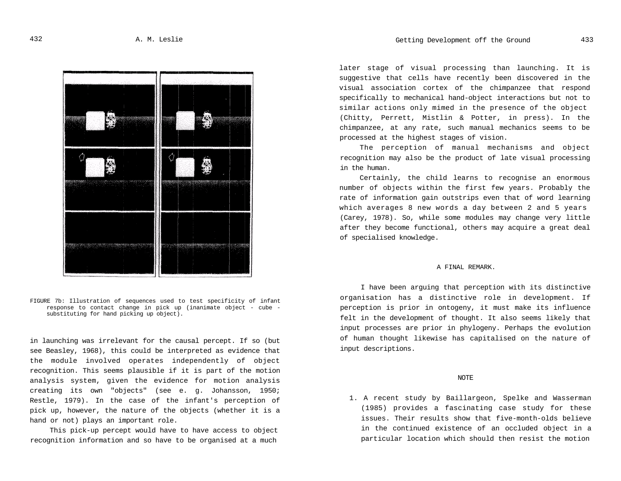

FIGURE 7b: Illustration of sequences used to test specificity of infant response to contact change in pick up (inanimate object - cube substituting for hand picking up object).

in launching was irrelevant for the causal percept. If so (but see Beasley, 1968), this could be interpreted as evidence that the module involved operates independently of object recognition. This seems plausible if it is part of the motion analysis system, given the evidence for motion analysis creating its own "objects" (see e. g. Johansson, 1950; Restle, 1979). In the case of the infant's perception of pick up, however, the nature of the objects (whether it is a hand or not) plays an important role.

This pick-up percept would have to have access to object recognition information and so have to be organised at a much

later stage of visual processing than launching. It is suggestive that cells have recently been discovered in the visual association cortex of the chimpanzee that respond specifically to mechanical hand-object interactions but not to similar actions only mimed in the presence of the object (Chitty, Perrett, Mistlin & Potter, in press). In the chimpanzee, at any rate, such manual mechanics seems to be processed at the highest stages of vision.

The perception of manual mechanisms and object recognition may also be the product of late visual processing in the human.

Certainly, the child learns to recognise an enormous number of objects within the first few years. Probably the rate of information gain outstrips even that of word learning which averages 8 new words a day between 2 and 5 years (Carey, 1978). So, while some modules may change very little after they become functional, others may acquire a great deal of specialised knowledge.

### A FINAL REMARK.

I have been arguing that perception with its distinctive organisation has a distinctive role in development. If perception is prior in ontogeny, it must make its influence felt in the development of thought. It also seems likely that input processes are prior in phylogeny. Perhaps the evolution of human thought likewise has capitalised on the nature of input descriptions.

### NOTE

1. A recent study by Baillargeon, Spelke and Wasserman (1985) provides a fascinating case study for these issues. Their results show that five-month-olds believe in the continued existence of an occluded object in a particular location which should then resist the motion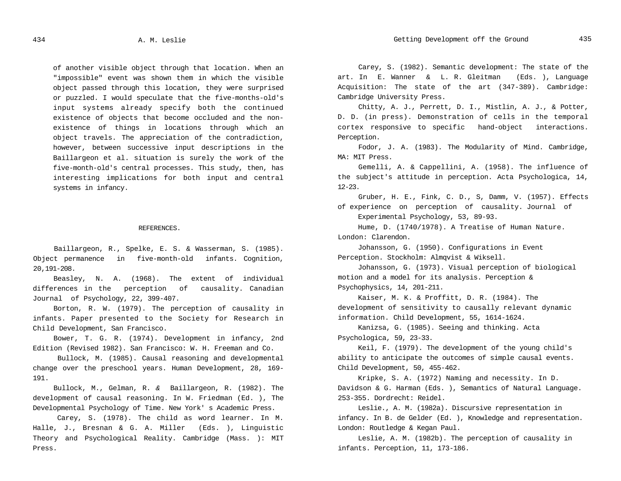of another visible object through that location. When an "impossible" event was shown them in which the visible object passed through this location, they were surprised or puzzled. I would speculate that the five-months-old's input systems already specify both the continued existence of objects that become occluded and the nonexistence of things in locations through which an object travels. The appreciation of the contradiction, however, between successive input descriptions in the Baillargeon et al. situation is surely the work of the five-month-old's central processes. This study, then, has interesting implications for both input and central systems in infancy.

#### REFERENCES.

Baillargeon, R., Spelke, E. S. & Wasserman, S. (1985). Object permanence in five-month-old infants. Cognition, 20,191-208.

Beasley, N. A. (1968). The extent of individual differences in the perception of causality. Canadian Journal of Psychology, 22, 399-407.

Borton, R. W. (1979). The perception of causality in infants. Paper presented to the Society for Research in Child Development, San Francisco.

Bower, T. G. R. (1974). Development in infancy, 2nd Edition (Revised 1982). San Francisco: W. H. Freeman and Co.

 Bullock, M. (1985). Causal reasoning and developmental change over the preschool years. Human Development, 28, 169- 191.

Bullock, M., Gelman, R. *&* Baillargeon, R. (1982). The development of causal reasoning. In W. Friedman (Ed. ), The Developmental Psychology of Time. New York' s Academic Press.

 Carey, S. (1978). The child as word learner. In M. Halle, J., Bresnan & G. A. Miller (Eds. ), Linguistic Theory and Psychological Reality. Cambridge (Mass. ): MIT Press.

Carey, S. (1982). Semantic development: The state of the art. In E. Wanner & L. R. Gleitman (Eds. ), Language Acquisition: The state of the art (347-389). Cambridge: Cambridge University Press.

Chitty, A. J., Perrett, D. I., Mistlin, A. J., & Potter, D. D. (in press). Demonstration of cells in the temporal cortex responsive to specific hand-object interactions. Perception.

Fodor, J. A. (1983). The Modularity of Mind. Cambridge, MA: MIT Press.

Gemelli, A. & Cappellini, A. (1958). The influence of the subject's attitude in perception. Acta Psychologica, 14, 12-23.

Gruber, H. E., Fink, C. D., S, Damm, V. (1957). Effects of experience on perception of causality. Journal of

Experimental Psychology, 53, 89-93.

Hume, D. (1740/1978). A Treatise of Human Nature. London: Clarendon.

Johansson, G. (1950). Configurations in Event Perception. Stockholm: Almqvist & Wiksell.

Johansson, G. (1973). Visual perception of biological motion and a model for its analysis. Perception & Psychophysics, 14, 201-211.

Kaiser, M. K. & Proffitt, D. R. (1984). The development of sensitivity to causally relevant dynamic information. Child Development, 55, 1614-1624.

Kanizsa, G. (1985). Seeing and thinking. Acta Psychologica, 59, 23-33.

Keil, F. (1979). The development of the young child's ability to anticipate the outcomes of simple causal events. Child Development, 50, 455-462.

Kripke, S. A. (1972) Naming and necessity. In D. Davidson & G. Harman (Eds. ), Semantics of Natural Language. 253-355. Dordrecht: Reidel.

Leslie., A. M. (1982a). Discursive representation in infancy. In B. de Gelder (Ed. ), Knowledge and representation. London: Routledge & Kegan Paul.

Leslie, A. M. (1982b). The perception of causality in infants. Perception, 11, 173-186.